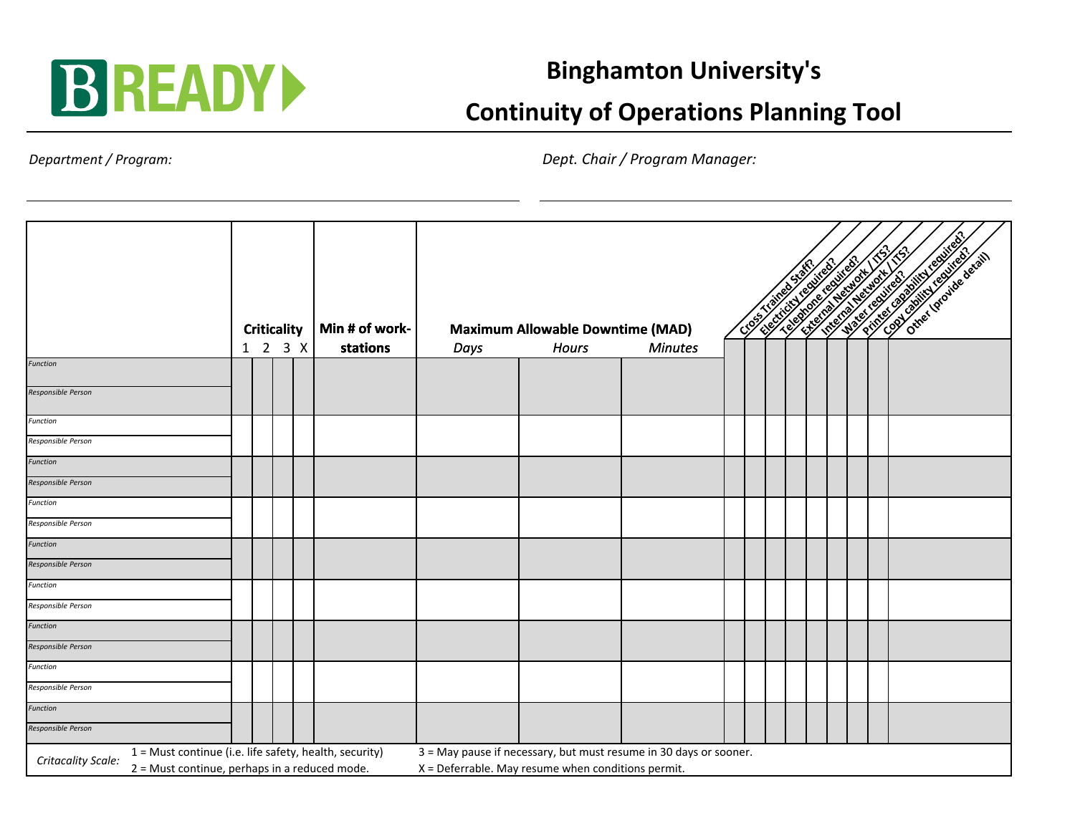

## **Binghamton University's**

## **Continuity of Operations Planning Tool**

*Department / Program:*

*Dept. Chair / Program Manager:*

|                                                                                                                                                                                                                                                            |  | <b>Criticality</b><br>1 2 3 X |  |  | Min # of work-<br>stations | <b>Maximum Allowable Downtime (MAD)</b> | the contract of the contract of the contract of the contract of the contract of the contract of the contract of<br><b>Contract of Street</b> |                |  |  |  |  |  |  |  |
|------------------------------------------------------------------------------------------------------------------------------------------------------------------------------------------------------------------------------------------------------------|--|-------------------------------|--|--|----------------------------|-----------------------------------------|----------------------------------------------------------------------------------------------------------------------------------------------|----------------|--|--|--|--|--|--|--|
| <b>Function</b>                                                                                                                                                                                                                                            |  |                               |  |  |                            | Days                                    | <b>Hours</b>                                                                                                                                 | <b>Minutes</b> |  |  |  |  |  |  |  |
| Responsible Person                                                                                                                                                                                                                                         |  |                               |  |  |                            |                                         |                                                                                                                                              |                |  |  |  |  |  |  |  |
| Function                                                                                                                                                                                                                                                   |  |                               |  |  |                            |                                         |                                                                                                                                              |                |  |  |  |  |  |  |  |
| Responsible Person                                                                                                                                                                                                                                         |  |                               |  |  |                            |                                         |                                                                                                                                              |                |  |  |  |  |  |  |  |
| <b>Function</b>                                                                                                                                                                                                                                            |  |                               |  |  |                            |                                         |                                                                                                                                              |                |  |  |  |  |  |  |  |
| Responsible Person                                                                                                                                                                                                                                         |  |                               |  |  |                            |                                         |                                                                                                                                              |                |  |  |  |  |  |  |  |
| Function                                                                                                                                                                                                                                                   |  |                               |  |  |                            |                                         |                                                                                                                                              |                |  |  |  |  |  |  |  |
| Responsible Person                                                                                                                                                                                                                                         |  |                               |  |  |                            |                                         |                                                                                                                                              |                |  |  |  |  |  |  |  |
| Function                                                                                                                                                                                                                                                   |  |                               |  |  |                            |                                         |                                                                                                                                              |                |  |  |  |  |  |  |  |
| Responsible Person                                                                                                                                                                                                                                         |  |                               |  |  |                            |                                         |                                                                                                                                              |                |  |  |  |  |  |  |  |
| Function                                                                                                                                                                                                                                                   |  |                               |  |  |                            |                                         |                                                                                                                                              |                |  |  |  |  |  |  |  |
| Responsible Person                                                                                                                                                                                                                                         |  |                               |  |  |                            |                                         |                                                                                                                                              |                |  |  |  |  |  |  |  |
| Function                                                                                                                                                                                                                                                   |  |                               |  |  |                            |                                         |                                                                                                                                              |                |  |  |  |  |  |  |  |
| Responsible Person                                                                                                                                                                                                                                         |  |                               |  |  |                            |                                         |                                                                                                                                              |                |  |  |  |  |  |  |  |
| Function                                                                                                                                                                                                                                                   |  |                               |  |  |                            |                                         |                                                                                                                                              |                |  |  |  |  |  |  |  |
| Responsible Person                                                                                                                                                                                                                                         |  |                               |  |  |                            |                                         |                                                                                                                                              |                |  |  |  |  |  |  |  |
| <b>Function</b>                                                                                                                                                                                                                                            |  |                               |  |  |                            |                                         |                                                                                                                                              |                |  |  |  |  |  |  |  |
| Responsible Person                                                                                                                                                                                                                                         |  |                               |  |  |                            |                                         |                                                                                                                                              |                |  |  |  |  |  |  |  |
| 3 = May pause if necessary, but must resume in 30 days or sooner.<br>1 = Must continue (i.e. life safety, health, security)<br>Critacality Scale:<br>$X =$ Deferrable. May resume when conditions permit.<br>2 = Must continue, perhaps in a reduced mode. |  |                               |  |  |                            |                                         |                                                                                                                                              |                |  |  |  |  |  |  |  |